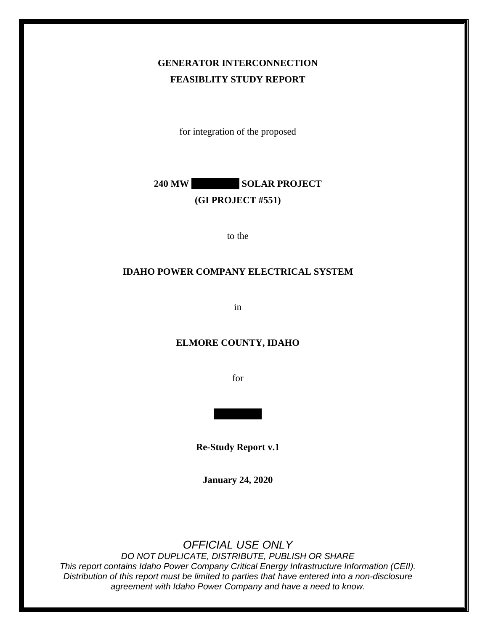### **GENERATOR INTERCONNECTION FEASIBLITY STUDY REPORT**

for integration of the proposed

**240 MW SOLAR PROJECT (GI PROJECT #551)**

to the

#### **IDAHO POWER COMPANY ELECTRICAL SYSTEM**

in

#### **ELMORE COUNTY, IDAHO**

for

**Re-Study Report v.1**

**January 24, 2020**

*OFFICIAL USE ONLY*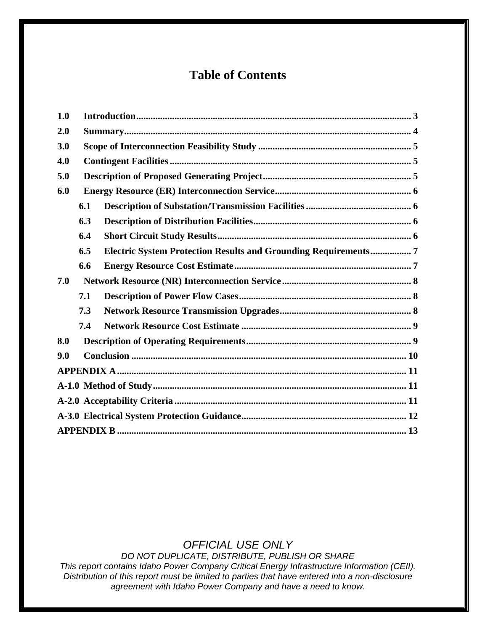# **Table of Contents**

| 1.0 |     |                                                                |  |  |  |  |
|-----|-----|----------------------------------------------------------------|--|--|--|--|
| 2.0 |     |                                                                |  |  |  |  |
| 3.0 |     |                                                                |  |  |  |  |
| 4.0 |     |                                                                |  |  |  |  |
| 5.0 |     |                                                                |  |  |  |  |
| 6.0 |     |                                                                |  |  |  |  |
|     | 6.1 |                                                                |  |  |  |  |
|     | 6.3 |                                                                |  |  |  |  |
|     | 6.4 |                                                                |  |  |  |  |
|     | 6.5 | Electric System Protection Results and Grounding Requirements7 |  |  |  |  |
|     | 6.6 |                                                                |  |  |  |  |
| 7.0 |     |                                                                |  |  |  |  |
|     | 7.1 |                                                                |  |  |  |  |
|     | 7.3 |                                                                |  |  |  |  |
|     | 7.4 |                                                                |  |  |  |  |
| 8.0 |     |                                                                |  |  |  |  |
| 9.0 |     |                                                                |  |  |  |  |
|     |     |                                                                |  |  |  |  |
|     |     |                                                                |  |  |  |  |
|     |     |                                                                |  |  |  |  |
|     |     |                                                                |  |  |  |  |
|     |     |                                                                |  |  |  |  |

### *OFFICIAL USE ONLY*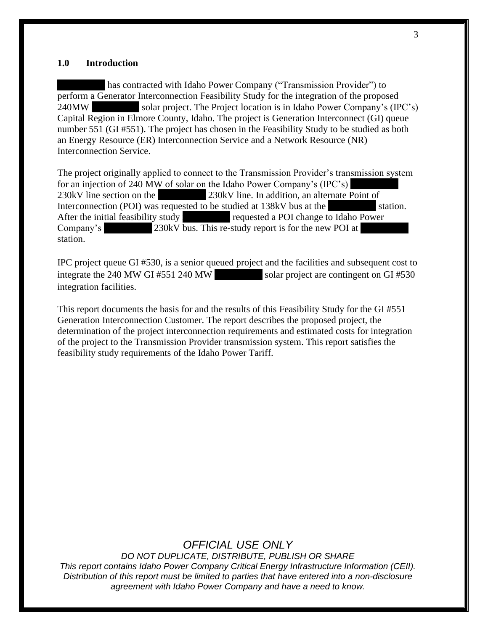#### <span id="page-2-0"></span>**1.0 Introduction**

has contracted with Idaho Power Company ("Transmission Provider") to perform a Generator Interconnection Feasibility Study for the integration of the proposed 240MW solar project. The Project location is in Idaho Power Company's (IPC's) Capital Region in Elmore County, Idaho. The project is Generation Interconnect (GI) queue number 551 (GI #551). The project has chosen in the Feasibility Study to be studied as both an Energy Resource (ER) Interconnection Service and a Network Resource (NR) Interconnection Service.

The project originally applied to connect to the Transmission Provider's transmission system for an injection of 240 MW of solar on the Idaho Power Company's  $(IPC's)$ 230kV line section on the *z***30kV** line. In addition, an alternate Point of Interconnection (POI) was requested to be studied at 138kV bus at the **xxx** station. After the initial feasibility study **xxxxxxxxxx** requested a POI change to Idaho Power **EXECOMPANY** 230kV bus. This re-study report is for the new POI at **z** station.

IPC project queue GI #530, is a senior queued project and the facilities and subsequent cost to integrate the  $240 \text{ MW}$  GI #551 240 MW solar project are contingent on GI #530 integration facilities.

This report documents the basis for and the results of this Feasibility Study for the GI #551 Generation Interconnection Customer. The report describes the proposed project, the determination of the project interconnection requirements and estimated costs for integration of the project to the Transmission Provider transmission system. This report satisfies the feasibility study requirements of the Idaho Power Tariff.

#### *OFFICIAL USE ONLY*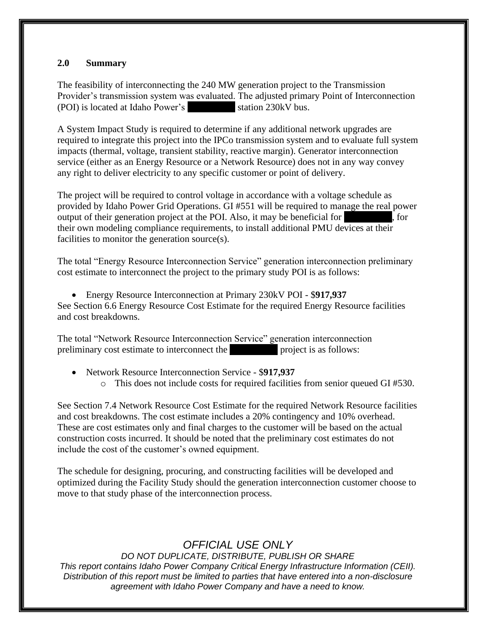#### <span id="page-3-0"></span>**2.0 Summary**

The feasibility of interconnecting the 240 MW generation project to the Transmission Provider's transmission system was evaluated. The adjusted primary Point of Interconnection (POI) is located at Idaho Power's station 230kV bus.

A System Impact Study is required to determine if any additional network upgrades are required to integrate this project into the IPCo transmission system and to evaluate full system impacts (thermal, voltage, transient stability, reactive margin). Generator interconnection service (either as an Energy Resource or a Network Resource) does not in any way convey any right to deliver electricity to any specific customer or point of delivery.

The project will be required to control voltage in accordance with a voltage schedule as provided by Idaho Power Grid Operations. GI #551 will be required to manage the real power output of their generation project at the POI. Also, it may be beneficial for **xxx**, for their own modeling compliance requirements, to install additional PMU devices at their facilities to monitor the generation source(s).

The total "Energy Resource Interconnection Service" generation interconnection preliminary cost estimate to interconnect the project to the primary study POI is as follows:

• Energy Resource Interconnection at Primary 230kV POI - \$**917,937** See Section 6.6 Energy Resource Cost Estimate for the required Energy Resource facilities and cost breakdowns.

The total "Network Resource Interconnection Service" generation interconnection preliminary cost estimate to interconnect the **xxxxxxxxxx** project is as follows:

• Network Resource Interconnection Service - \$**917,937**

o This does not include costs for required facilities from senior queued GI #530.

See Section 7.4 Network Resource Cost Estimate for the required Network Resource facilities and cost breakdowns. The cost estimate includes a 20% contingency and 10% overhead. These are cost estimates only and final charges to the customer will be based on the actual construction costs incurred. It should be noted that the preliminary cost estimates do not include the cost of the customer's owned equipment.

The schedule for designing, procuring, and constructing facilities will be developed and optimized during the Facility Study should the generation interconnection customer choose to move to that study phase of the interconnection process.

### *OFFICIAL USE ONLY*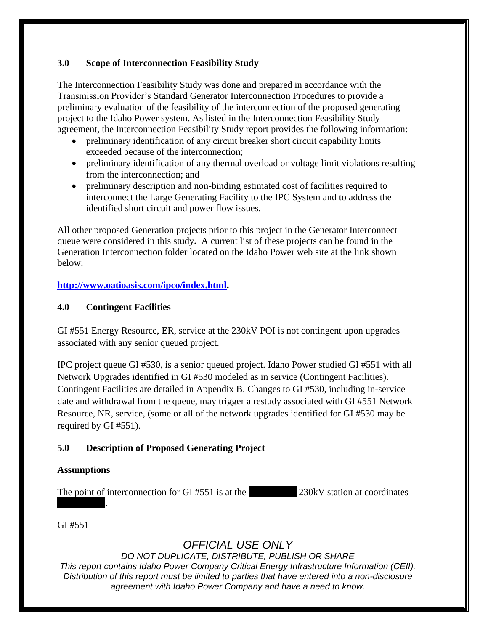#### <span id="page-4-0"></span>**3.0 Scope of Interconnection Feasibility Study**

The Interconnection Feasibility Study was done and prepared in accordance with the Transmission Provider's Standard Generator Interconnection Procedures to provide a preliminary evaluation of the feasibility of the interconnection of the proposed generating project to the Idaho Power system. As listed in the Interconnection Feasibility Study agreement, the Interconnection Feasibility Study report provides the following information:

- preliminary identification of any circuit breaker short circuit capability limits exceeded because of the interconnection;
- preliminary identification of any thermal overload or voltage limit violations resulting from the interconnection; and
- preliminary description and non-binding estimated cost of facilities required to interconnect the Large Generating Facility to the IPC System and to address the identified short circuit and power flow issues.

All other proposed Generation projects prior to this project in the Generator Interconnect queue were considered in this study**.** A current list of these projects can be found in the Generation Interconnection folder located on the Idaho Power web site at the link shown below:

**[http://www.oatioasis.com/ipco/index.html.](http://www.oatioasis.com/ipco/index.html)**

#### <span id="page-4-1"></span>**4.0 Contingent Facilities**

GI #551 Energy Resource, ER, service at the 230kV POI is not contingent upon upgrades associated with any senior queued project.

IPC project queue GI #530, is a senior queued project. Idaho Power studied GI #551 with all Network Upgrades identified in GI #530 modeled as in service (Contingent Facilities). Contingent Facilities are detailed in Appendix B. Changes to GI #530, including in-service date and withdrawal from the queue, may trigger a restudy associated with GI #551 Network Resource, NR, service, (some or all of the network upgrades identified for GI #530 may be required by GI #551).

#### <span id="page-4-2"></span>**5.0 Description of Proposed Generating Project**

#### **Assumptions**

**xxxxxxxxxx**.

The point of interconnection for GI #551 is at the **xxxxxxxxxx** 230kV station at coordinates

GI #551

## *OFFICIAL USE ONLY*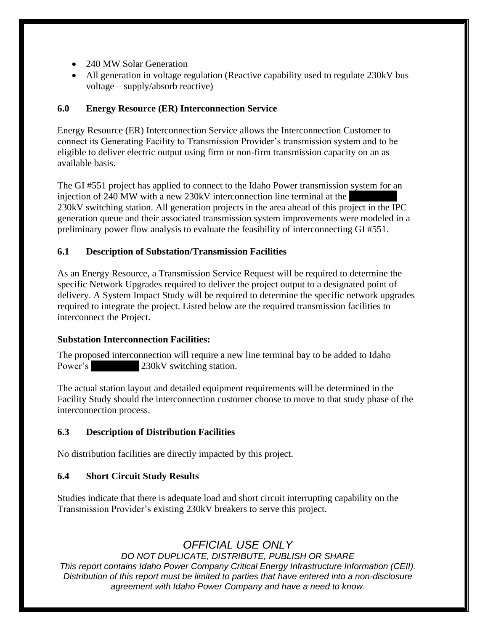- 240 MW Solar Generation
- All generation in voltage regulation (Reactive capability used to regulate 230kV bus voltage – supply/absorb reactive)

#### <span id="page-5-0"></span>**6.0 Energy Resource (ER) Interconnection Service**

Energy Resource (ER) Interconnection Service allows the Interconnection Customer to connect its Generating Facility to Transmission Provider's transmission system and to be eligible to deliver electric output using firm or non-firm transmission capacity on an as available basis.

The GI #551 project has applied to connect to the Idaho Power transmission system for an injection of 240 MW with a new 230 kV interconnection line terminal at the 230kV switching station. All generation projects in the area ahead of this project in the IPC generation queue and their associated transmission system improvements were modeled in a preliminary power flow analysis to evaluate the feasibility of interconnecting GI #551.

#### <span id="page-5-1"></span>**6.1 Description of Substation/Transmission Facilities**

As an Energy Resource, a Transmission Service Request will be required to determine the specific Network Upgrades required to deliver the project output to a designated point of delivery. A System Impact Study will be required to determine the specific network upgrades required to integrate the project. Listed below are the required transmission facilities to interconnect the Project.

#### **Substation Interconnection Facilities:**

The proposed interconnection will require a new line terminal bay to be added to Idaho Power's **230kV** switching station.

The actual station layout and detailed equipment requirements will be determined in the Facility Study should the interconnection customer choose to move to that study phase of the interconnection process.

#### <span id="page-5-2"></span>**6.3 Description of Distribution Facilities**

No distribution facilities are directly impacted by this project.

#### <span id="page-5-3"></span>**6.4 Short Circuit Study Results**

Studies indicate that there is adequate load and short circuit interrupting capability on the Transmission Provider's existing 230kV breakers to serve this project.

### *OFFICIAL USE ONLY*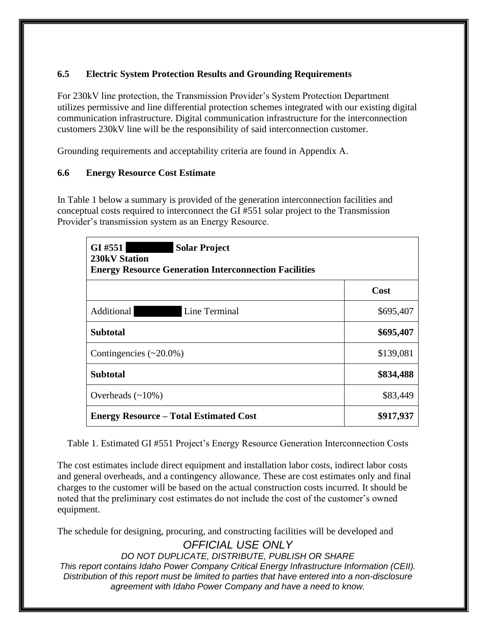#### <span id="page-6-0"></span>**6.5 Electric System Protection Results and Grounding Requirements**

For 230kV line protection, the Transmission Provider's System Protection Department utilizes permissive and line differential protection schemes integrated with our existing digital communication infrastructure. Digital communication infrastructure for the interconnection customers 230kV line will be the responsibility of said interconnection customer.

Grounding requirements and acceptability criteria are found in Appendix A.

#### <span id="page-6-1"></span>**6.6 Energy Resource Cost Estimate**

In Table 1 below a summary is provided of the generation interconnection facilities and conceptual costs required to interconnect the GI #551 solar project to the Transmission Provider's transmission system as an Energy Resource.

| GI #551<br><b>Solar Project</b><br>230kV Station<br><b>Energy Resource Generation Interconnection Facilities</b> |           |  |  |  |
|------------------------------------------------------------------------------------------------------------------|-----------|--|--|--|
|                                                                                                                  | Cost      |  |  |  |
| Line Terminal<br>Additional                                                                                      | \$695,407 |  |  |  |
| <b>Subtotal</b>                                                                                                  | \$695,407 |  |  |  |
| Contingencies $(\sim 20.0\%)$                                                                                    | \$139,081 |  |  |  |
| <b>Subtotal</b>                                                                                                  | \$834,488 |  |  |  |
| Overheads $(\sim 10\%)$                                                                                          | \$83,449  |  |  |  |
| <b>Energy Resource – Total Estimated Cost</b>                                                                    | \$917,937 |  |  |  |

Table 1. Estimated GI #551 Project's Energy Resource Generation Interconnection Costs

The cost estimates include direct equipment and installation labor costs, indirect labor costs and general overheads, and a contingency allowance. These are cost estimates only and final charges to the customer will be based on the actual construction costs incurred. It should be noted that the preliminary cost estimates do not include the cost of the customer's owned equipment.

*OFFICIAL USE ONLY* The schedule for designing, procuring, and constructing facilities will be developed and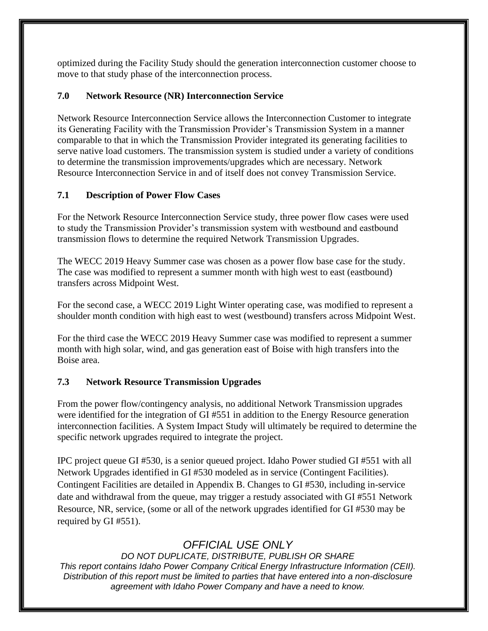optimized during the Facility Study should the generation interconnection customer choose to move to that study phase of the interconnection process.

#### <span id="page-7-0"></span>**7.0 Network Resource (NR) Interconnection Service**

Network Resource Interconnection Service allows the Interconnection Customer to integrate its Generating Facility with the Transmission Provider's Transmission System in a manner comparable to that in which the Transmission Provider integrated its generating facilities to serve native load customers. The transmission system is studied under a variety of conditions to determine the transmission improvements/upgrades which are necessary. Network Resource Interconnection Service in and of itself does not convey Transmission Service.

#### <span id="page-7-1"></span>**7.1 Description of Power Flow Cases**

For the Network Resource Interconnection Service study, three power flow cases were used to study the Transmission Provider's transmission system with westbound and eastbound transmission flows to determine the required Network Transmission Upgrades.

The WECC 2019 Heavy Summer case was chosen as a power flow base case for the study. The case was modified to represent a summer month with high west to east (eastbound) transfers across Midpoint West.

For the second case, a WECC 2019 Light Winter operating case, was modified to represent a shoulder month condition with high east to west (westbound) transfers across Midpoint West.

For the third case the WECC 2019 Heavy Summer case was modified to represent a summer month with high solar, wind, and gas generation east of Boise with high transfers into the Boise area.

#### <span id="page-7-2"></span>**7.3 Network Resource Transmission Upgrades**

From the power flow/contingency analysis, no additional Network Transmission upgrades were identified for the integration of GI #551 in addition to the Energy Resource generation interconnection facilities. A System Impact Study will ultimately be required to determine the specific network upgrades required to integrate the project.

IPC project queue GI #530, is a senior queued project. Idaho Power studied GI #551 with all Network Upgrades identified in GI #530 modeled as in service (Contingent Facilities). Contingent Facilities are detailed in Appendix B. Changes to GI #530, including in-service date and withdrawal from the queue, may trigger a restudy associated with GI #551 Network Resource, NR, service, (some or all of the network upgrades identified for GI #530 may be required by GI #551).

## *OFFICIAL USE ONLY*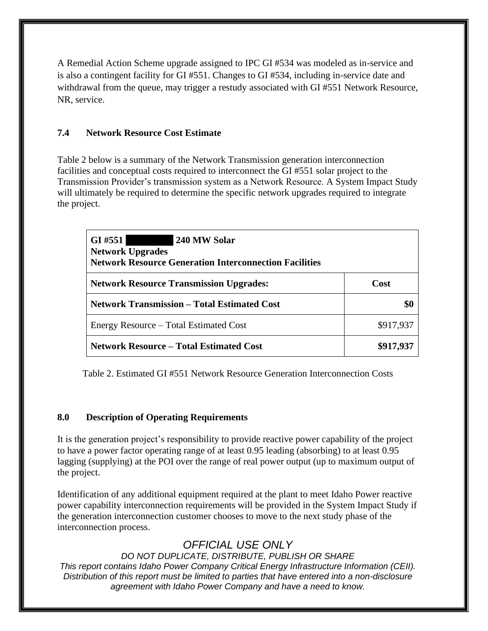A Remedial Action Scheme upgrade assigned to IPC GI #534 was modeled as in-service and is also a contingent facility for GI #551. Changes to GI #534, including in-service date and withdrawal from the queue, may trigger a restudy associated with GI #551 Network Resource, NR, service.

#### <span id="page-8-0"></span>**7.4 Network Resource Cost Estimate**

Table 2 below is a summary of the Network Transmission generation interconnection facilities and conceptual costs required to interconnect the GI #551 solar project to the Transmission Provider's transmission system as a Network Resource. A System Impact Study will ultimately be required to determine the specific network upgrades required to integrate the project.

| $GI$ #551<br>240 MW Solar<br><b>Network Upgrades</b><br><b>Network Resource Generation Interconnection Facilities</b> |           |  |  |  |
|-----------------------------------------------------------------------------------------------------------------------|-----------|--|--|--|
| <b>Network Resource Transmission Upgrades:</b>                                                                        | Cost      |  |  |  |
| <b>Network Transmission – Total Estimated Cost</b>                                                                    | \$0       |  |  |  |
| Energy Resource – Total Estimated Cost                                                                                | \$917,937 |  |  |  |
| <b>Network Resource – Total Estimated Cost</b>                                                                        | \$917,937 |  |  |  |

Table 2. Estimated GI #551 Network Resource Generation Interconnection Costs

#### <span id="page-8-1"></span>**8.0 Description of Operating Requirements**

It is the generation project's responsibility to provide reactive power capability of the project to have a power factor operating range of at least 0.95 leading (absorbing) to at least 0.95 lagging (supplying) at the POI over the range of real power output (up to maximum output of the project.

Identification of any additional equipment required at the plant to meet Idaho Power reactive power capability interconnection requirements will be provided in the System Impact Study if the generation interconnection customer chooses to move to the next study phase of the interconnection process.

## *OFFICIAL USE ONLY*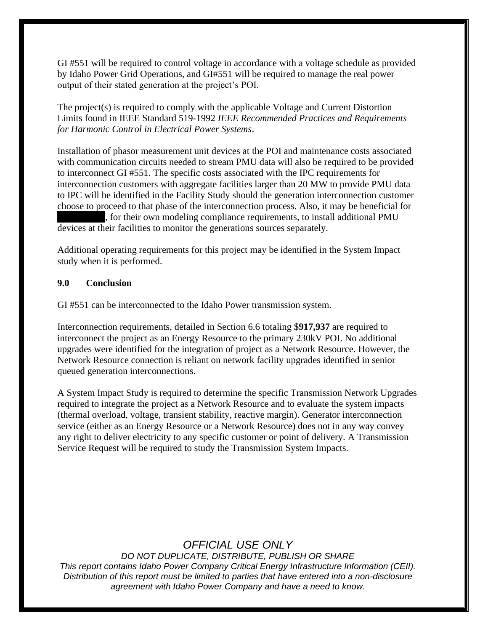GI #551 will be required to control voltage in accordance with a voltage schedule as provided by Idaho Power Grid Operations, and GI#551 will be required to manage the real power output of their stated generation at the project's POI.

The project(s) is required to comply with the applicable Voltage and Current Distortion Limits found in IEEE Standard 519-1992 *IEEE Recommended Practices and Requirements for Harmonic Control in Electrical Power Systems*.

Installation of phasor measurement unit devices at the POI and maintenance costs associated with communication circuits needed to stream PMU data will also be required to be provided to interconnect GI #551. The specific costs associated with the IPC requirements for interconnection customers with aggregate facilities larger than 20 MW to provide PMU data to IPC will be identified in the Facility Study should the generation interconnection customer choose to proceed to that phase of the interconnection process. Also, it may be beneficial for **xxxxxxxxxx**, for their own modeling compliance requirements, to install additional PMU devices at their facilities to monitor the generations sources separately.

Additional operating requirements for this project may be identified in the System Impact study when it is performed.

#### <span id="page-9-0"></span>**9.0 Conclusion**

GI #551 can be interconnected to the Idaho Power transmission system.

Interconnection requirements, detailed in Section 6.6 totaling \$**917,937** are required to interconnect the project as an Energy Resource to the primary 230kV POI. No additional upgrades were identified for the integration of project as a Network Resource. However, the Network Resource connection is reliant on network facility upgrades identified in senior queued generation interconnections.

A System Impact Study is required to determine the specific Transmission Network Upgrades required to integrate the project as a Network Resource and to evaluate the system impacts (thermal overload, voltage, transient stability, reactive margin). Generator interconnection service (either as an Energy Resource or a Network Resource) does not in any way convey any right to deliver electricity to any specific customer or point of delivery. A Transmission Service Request will be required to study the Transmission System Impacts.

### *OFFICIAL USE ONLY*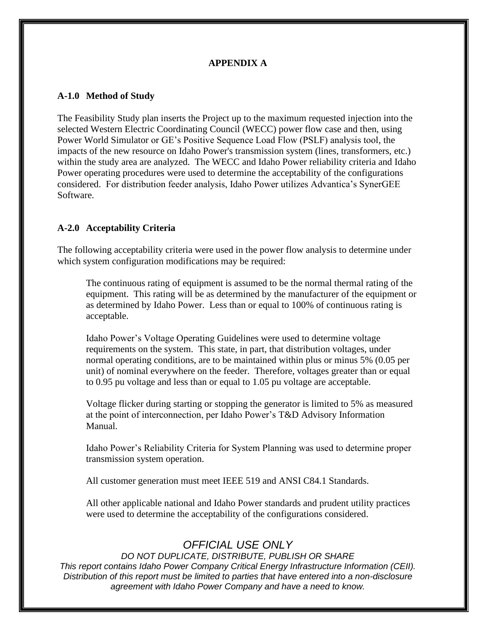#### **APPENDIX A**

#### <span id="page-10-1"></span><span id="page-10-0"></span>**A-1.0 Method of Study**

The Feasibility Study plan inserts the Project up to the maximum requested injection into the selected Western Electric Coordinating Council (WECC) power flow case and then, using Power World Simulator or GE's Positive Sequence Load Flow (PSLF) analysis tool, the impacts of the new resource on Idaho Power's transmission system (lines, transformers, etc.) within the study area are analyzed. The WECC and Idaho Power reliability criteria and Idaho Power operating procedures were used to determine the acceptability of the configurations considered. For distribution feeder analysis, Idaho Power utilizes Advantica's SynerGEE Software.

#### <span id="page-10-2"></span>**A-2.0 Acceptability Criteria**

The following acceptability criteria were used in the power flow analysis to determine under which system configuration modifications may be required:

The continuous rating of equipment is assumed to be the normal thermal rating of the equipment. This rating will be as determined by the manufacturer of the equipment or as determined by Idaho Power. Less than or equal to 100% of continuous rating is acceptable.

Idaho Power's Voltage Operating Guidelines were used to determine voltage requirements on the system. This state, in part, that distribution voltages, under normal operating conditions, are to be maintained within plus or minus 5% (0.05 per unit) of nominal everywhere on the feeder. Therefore, voltages greater than or equal to 0.95 pu voltage and less than or equal to 1.05 pu voltage are acceptable.

Voltage flicker during starting or stopping the generator is limited to 5% as measured at the point of interconnection, per Idaho Power's T&D Advisory Information Manual.

Idaho Power's Reliability Criteria for System Planning was used to determine proper transmission system operation.

All customer generation must meet IEEE 519 and ANSI C84.1 Standards.

All other applicable national and Idaho Power standards and prudent utility practices were used to determine the acceptability of the configurations considered.

### *OFFICIAL USE ONLY*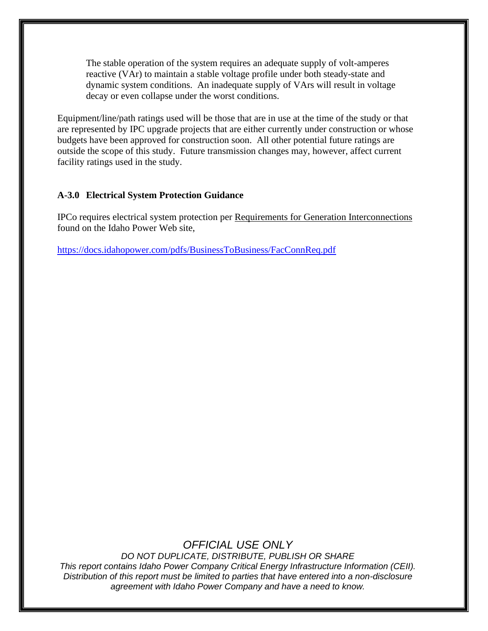The stable operation of the system requires an adequate supply of volt-amperes reactive (VAr) to maintain a stable voltage profile under both steady-state and dynamic system conditions. An inadequate supply of VArs will result in voltage decay or even collapse under the worst conditions.

Equipment/line/path ratings used will be those that are in use at the time of the study or that are represented by IPC upgrade projects that are either currently under construction or whose budgets have been approved for construction soon. All other potential future ratings are outside the scope of this study. Future transmission changes may, however, affect current facility ratings used in the study.

#### <span id="page-11-0"></span>**A-3.0 Electrical System Protection Guidance**

IPCo requires electrical system protection per Requirements for Generation Interconnections found on the Idaho Power Web site,

<https://docs.idahopower.com/pdfs/BusinessToBusiness/FacConnReq.pdf>

### *OFFICIAL USE ONLY*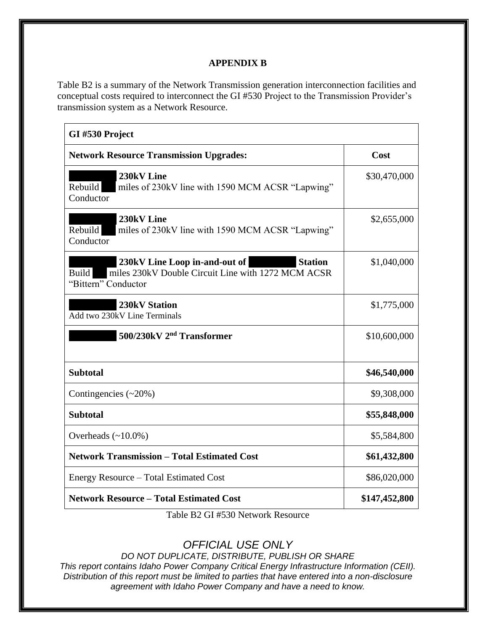#### **APPENDIX B**

<span id="page-12-0"></span>Table B2 is a summary of the Network Transmission generation interconnection facilities and conceptual costs required to interconnect the GI #530 Project to the Transmission Provider's transmission system as a Network Resource.

| GI #530 Project                                                                                                                       |               |  |  |  |
|---------------------------------------------------------------------------------------------------------------------------------------|---------------|--|--|--|
| <b>Network Resource Transmission Upgrades:</b>                                                                                        | Cost          |  |  |  |
| 230kV Line<br>miles of 230kV line with 1590 MCM ACSR "Lapwing"<br>Rebuild<br>Conductor                                                | \$30,470,000  |  |  |  |
| 230kV Line<br>Rebuild<br>miles of 230kV line with 1590 MCM ACSR "Lapwing"<br>Conductor                                                | \$2,655,000   |  |  |  |
| 230kV Line Loop in-and-out of<br><b>Station</b><br>miles 230kV Double Circuit Line with 1272 MCM ACSR<br>Build<br>"Bittern" Conductor | \$1,040,000   |  |  |  |
| 230kV Station<br>Add two 230kV Line Terminals                                                                                         | \$1,775,000   |  |  |  |
| 500/230kV 2 <sup>nd</sup> Transformer                                                                                                 | \$10,600,000  |  |  |  |
| <b>Subtotal</b>                                                                                                                       | \$46,540,000  |  |  |  |
| Contingencies $(\sim 20\%)$                                                                                                           | \$9,308,000   |  |  |  |
| <b>Subtotal</b>                                                                                                                       | \$55,848,000  |  |  |  |
| Overheads $(\sim 10.0\%)$                                                                                                             | \$5,584,800   |  |  |  |
| <b>Network Transmission - Total Estimated Cost</b>                                                                                    | \$61,432,800  |  |  |  |
| Energy Resource – Total Estimated Cost                                                                                                | \$86,020,000  |  |  |  |
| <b>Network Resource - Total Estimated Cost</b>                                                                                        | \$147,452,800 |  |  |  |

Table B2 GI #530 Network Resource

### *OFFICIAL USE ONLY*